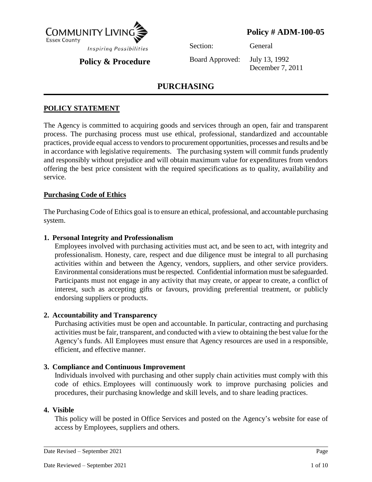

# **Policy # ADM-100-05**

**Policy & Procedure**

Section: General

Board Approved: July 13, 1992

December 7, 2011

# **PURCHASING**

## **POLICY STATEMENT**

The Agency is committed to acquiring goods and services through an open, fair and transparent process. The purchasing process must use ethical, professional, standardized and accountable practices, provide equal access to vendors to procurement opportunities, processes and results and be in accordance with legislative requirements. The purchasing system will commit funds prudently and responsibly without prejudice and will obtain maximum value for expenditures from vendors offering the best price consistent with the required specifications as to quality, availability and service.

## **Purchasing Code of Ethics**

The Purchasing Code of Ethics goal is to ensure an ethical, professional, and accountable purchasing system.

## **1. Personal Integrity and Professionalism**

Employees involved with purchasing activities must act, and be seen to act, with integrity and professionalism. Honesty, care, respect and due diligence must be integral to all purchasing activities within and between the Agency, vendors, suppliers, and other service providers. Environmental considerations must be respected. Confidential information must be safeguarded. Participants must not engage in any activity that may create, or appear to create, a conflict of interest, such as accepting gifts or favours, providing preferential treatment, or publicly endorsing suppliers or products.

## **2. Accountability and Transparency**

Purchasing activities must be open and accountable. In particular, contracting and purchasing activities must be fair, transparent, and conducted with a view to obtaining the best value for the Agency's funds. All Employees must ensure that Agency resources are used in a responsible, efficient, and effective manner.

## **3. Compliance and Continuous Improvement**

Individuals involved with purchasing and other supply chain activities must comply with this code of ethics. Employees will continuously work to improve purchasing policies and procedures, their purchasing knowledge and skill levels, and to share leading practices.

#### **4. Visible**

This policy will be posted in Office Services and posted on the Agency's website for ease of access by Employees, suppliers and others.

Date Revised – September 2021 Page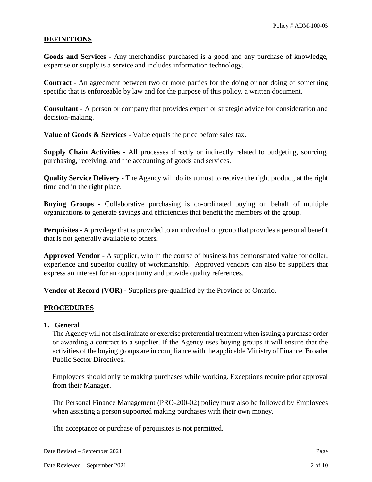### **DEFINITIONS**

**Goods and Services** - Any merchandise purchased is a good and any purchase of knowledge, expertise or supply is a service and includes information technology.

**Contract** - An agreement between two or more parties for the doing or not doing of something specific that is enforceable by law and for the purpose of this policy, a written document.

**Consultant** - A person or company that provides expert or strategic advice for consideration and decision-making.

**Value of Goods & Services** - Value equals the price before sales tax.

**Supply Chain Activities** - All processes directly or indirectly related to budgeting, sourcing, purchasing, receiving, and the accounting of goods and services.

**Quality Service Delivery** - The Agency will do its utmost to receive the right product, at the right time and in the right place.

**Buying Groups** - Collaborative purchasing is co-ordinated buying on behalf of multiple organizations to generate savings and efficiencies that benefit the members of the group.

**Perquisites** - A privilege that is provided to an individual or group that provides a personal benefit that is not generally available to others.

**Approved Vendor** - A supplier, who in the course of business has demonstrated value for dollar, experience and superior quality of workmanship. Approved vendors can also be suppliers that express an interest for an opportunity and provide quality references.

**Vendor of Record (VOR)** - Suppliers pre-qualified by the Province of Ontario.

## **PROCEDURES**

#### **1. General**

The Agency will not discriminate or exercise preferential treatment when issuing a purchase order or awarding a contract to a supplier. If the Agency uses buying groups it will ensure that the activities of the buying groups are in compliance with the applicable Ministry of Finance, Broader Public Sector Directives.

Employees should only be making purchases while working. Exceptions require prior approval from their Manager.

The Personal Finance Management (PRO-200-02) policy must also be followed by Employees when assisting a person supported making purchases with their own money.

The acceptance or purchase of perquisites is not permitted.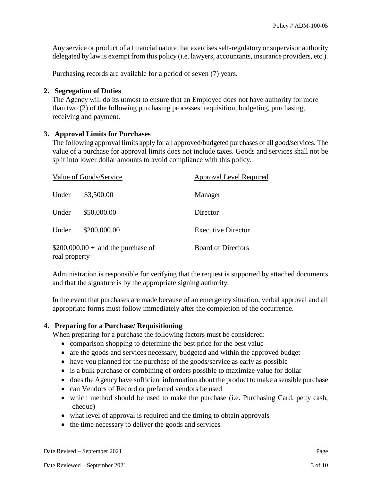Any service or product of a financial nature that exercises self-regulatory or supervisor authority delegated by law is exempt from this policy (i.e. lawyers, accountants, insurance providers, etc.).

Purchasing records are available for a period of seven (7) years.

### **2. Segregation of Duties**

The Agency will do its utmost to ensure that an Employee does not have authority for more than two (2) of the following purchasing processes: requisition, budgeting, purchasing, receiving and payment.

## **3. Approval Limits for Purchases**

The following approval limits apply for all approved/budgeted purchases of all good/services. The value of a purchase for approval limits does not include taxes. Goods and services shall not be split into lower dollar amounts to avoid compliance with this policy.

| Value of Goods/Service                               |              | <b>Approval Level Required</b> |
|------------------------------------------------------|--------------|--------------------------------|
| Under                                                | \$3,500.00   | Manager                        |
| Under                                                | \$50,000.00  | Director                       |
| Under                                                | \$200,000.00 | <b>Executive Director</b>      |
| $$200,000.00 +$ and the purchase of<br>real property |              | <b>Board of Directors</b>      |

Administration is responsible for verifying that the request is supported by attached documents and that the signature is by the appropriate signing authority.

In the event that purchases are made because of an emergency situation, verbal approval and all appropriate forms must follow immediately after the completion of the occurrence.

## **4. Preparing for a Purchase/ Requisitioning**

When preparing for a purchase the following factors must be considered:

- comparison shopping to determine the best price for the best value
- are the goods and services necessary, budgeted and within the approved budget
- have you planned for the purchase of the goods/service as early as possible
- is a bulk purchase or combining of orders possible to maximize value for dollar
- does the Agency have sufficient information about the product to make a sensible purchase
- can Vendors of Record or preferred vendors be used
- which method should be used to make the purchase (i.e. Purchasing Card, petty cash, cheque)
- what level of approval is required and the timing to obtain approvals
- the time necessary to deliver the goods and services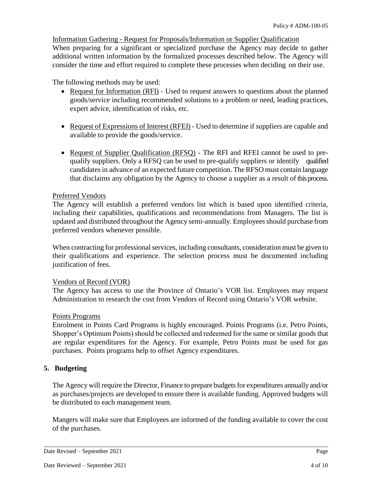#### Information Gathering - Request for Proposals/Information or Supplier Qualification

When preparing for a significant or specialized purchase the Agency may decide to gather additional written information by the formalized processes described below. The Agency will consider the time and effort required to complete these processes when deciding on their use.

The following methods may be used:

- Request for Information (RFI) Used to request answers to questions about the planned goods/service including recommended solutions to a problem or need, leading practices, expert advice, identification of risks, etc.
- Request of Expressions of Interest (RFEI) Used to determine if suppliers are capable and available to provide the goods/service.
- Request of Supplier Qualification (RFSQ) The RFI and RFEI cannot be used to prequalify suppliers. Only a RFSQ can be used to pre-qualify suppliers or identify qualified candidates in advance of an expected future competition. The RFSO must contain language that disclaims any obligation by the Agency to choose a supplier as a result of this process.

### Preferred Vendors

The Agency will establish a preferred vendors list which is based upon identified criteria, including their capabilities, qualifications and recommendations from Managers. The list is updated and distributed throughout the Agency semi-annually. Employees should purchase from preferred vendors whenever possible.

When contracting for professional services, including consultants, consideration must be given to their qualifications and experience. The selection process must be documented including justification of fees.

#### Vendors of Record (VOR)

The Agency has access to use the Province of Ontario's VOR list. Employees may request Administration to research the cost from Vendors of Record using Ontario's VOR website.

#### Points Programs

Enrolment in Points Card Programs is highly encouraged. Points Programs (i.e. Petro Points, Shopper's Optimum Points) should be collected and redeemed for the same or similar goods that are regular expenditures for the Agency. For example, Petro Points must be used for gas purchases. Points programs help to offset Agency expenditures.

## **5. Budgeting**

The Agency will require the Director, Finance to prepare budgets for expenditures annually and/or as purchases/projects are developed to ensure there is available funding. Approved budgets will be distributed to each management team.

Mangers will make sure that Employees are informed of the funding available to cover the cost of the purchases.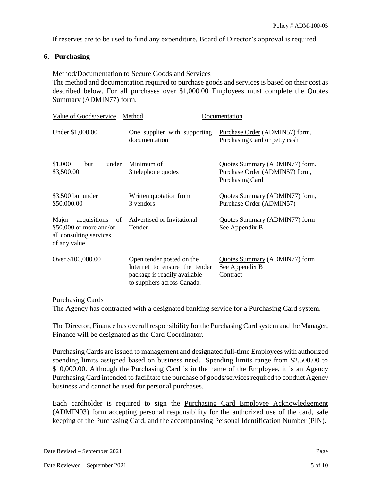If reserves are to be used to fund any expenditure, Board of Director's approval is required.

## **6. Purchasing**

#### Method/Documentation to Secure Goods and Services

The method and documentation required to purchase goods and services is based on their cost as described below. For all purchases over \$1,000.00 Employees must complete the Quotes Summary (ADMIN77) form.

| Value of Goods/Service                                                                             | Method<br>Documentation                                                                                                   |                                                                                            |
|----------------------------------------------------------------------------------------------------|---------------------------------------------------------------------------------------------------------------------------|--------------------------------------------------------------------------------------------|
| Under \$1,000.00                                                                                   | One supplier with supporting<br>documentation                                                                             | Purchase Order (ADMIN57) form,<br>Purchasing Card or petty cash                            |
| \$1,000<br>under<br>but<br>\$3,500.00                                                              | Minimum of<br>3 telephone quotes                                                                                          | Quotes Summary (ADMIN77) form.<br>Purchase Order (ADMIN57) form,<br><b>Purchasing Card</b> |
| $$3,500$ but under<br>\$50,000.00                                                                  | Written quotation from<br>3 vendors                                                                                       | Quotes Summary (ADMIN77) form,<br>Purchase Order (ADMIN57)                                 |
| acquisitions<br>Major<br>of<br>$$50,000$ or more and/or<br>all consulting services<br>of any value | Advertised or Invitational<br>Tender                                                                                      | Quotes Summary (ADMIN77) form<br>See Appendix B                                            |
| Over \$100,000.00                                                                                  | Open tender posted on the<br>Internet to ensure the tender<br>package is readily available<br>to suppliers across Canada. | Quotes Summary (ADMIN77) form<br>See Appendix B<br>Contract                                |

Purchasing Cards

The Agency has contracted with a designated banking service for a Purchasing Card system.

The Director, Finance has overall responsibility for the Purchasing Card system and the Manager, Finance will be designated as the Card Coordinator.

Purchasing Cards are issued to management and designated full-time Employees with authorized spending limits assigned based on business need. Spending limits range from \$2,500.00 to \$10,000.00. Although the Purchasing Card is in the name of the Employee, it is an Agency Purchasing Card intended to facilitate the purchase of goods/services required to conduct Agency business and cannot be used for personal purchases.

Each cardholder is required to sign the Purchasing Card Employee Acknowledgement (ADMIN03) form accepting personal responsibility for the authorized use of the card, safe keeping of the Purchasing Card, and the accompanying Personal Identification Number (PIN).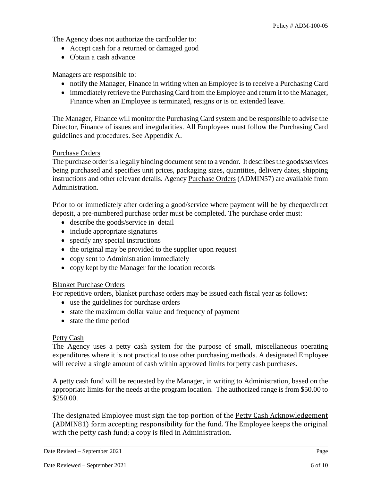The Agency does not authorize the cardholder to:

- Accept cash for a returned or damaged good
- Obtain a cash advance

Managers are responsible to:

- notify the Manager, Finance in writing when an Employee is to receive a Purchasing Card
- immediately retrieve the Purchasing Card from the Employee and return it to the Manager, Finance when an Employee is terminated, resigns or is on extended leave.

The Manager, Finance will monitor the Purchasing Card system and be responsible to advise the Director, Finance of issues and irregularities. All Employees must follow the Purchasing Card guidelines and procedures. See Appendix A.

## Purchase Orders

The purchase order is a legally binding document sent to a vendor. It describes the goods/services being purchased and specifies unit prices, packaging sizes, quantities, delivery dates, shipping instructions and other relevant details. Agency Purchase Orders (ADMIN57) are available from Administration.

Prior to or immediately after ordering a good/service where payment will be by cheque/direct deposit, a pre-numbered purchase order must be completed. The purchase order must:

- describe the goods/service in detail
- include appropriate signatures
- specify any special instructions
- the original may be provided to the supplier upon request
- copy sent to Administration immediately
- copy kept by the Manager for the location records

## Blanket Purchase Orders

For repetitive orders, blanket purchase orders may be issued each fiscal year as follows:

- use the guidelines for purchase orders
- state the maximum dollar value and frequency of payment
- state the time period

## Petty Cash

The Agency uses a petty cash system for the purpose of small, miscellaneous operating expenditures where it is not practical to use other purchasing methods. A designated Employee will receive a single amount of cash within approved limits for petty cash purchases.

A petty cash fund will be requested by the Manager, in writing to Administration, based on the appropriate limits for the needs at the program location. The authorized range is from \$50.00 to \$250.00.

The designated Employee must sign the top portion of the Petty Cash Acknowledgement (ADMIN81) form accepting responsibility for the fund. The Employee keeps the original with the petty cash fund; a copy is filed in Administration.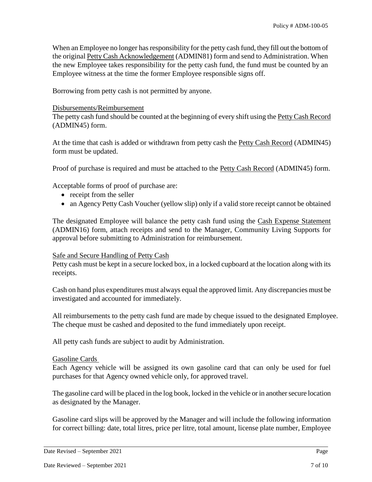When an Employee no longer has responsibility for the petty cash fund, they fill out the bottom of the original Petty Cash Acknowledgement (ADMIN81) form and send to Administration. When the new Employee takes responsibility for the petty cash fund, the fund must be counted by an Employee witness at the time the former Employee responsible signs off.

Borrowing from petty cash is not permitted by anyone.

#### Disbursements/Reimbursement

The petty cash fund should be counted at the beginning of every shift using the Petty Cash Record (ADMIN45) form.

At the time that cash is added or withdrawn from petty cash the Petty Cash Record (ADMIN45) form must be updated.

Proof of purchase is required and must be attached to the Petty Cash Record (ADMIN45) form.

Acceptable forms of proof of purchase are:

- receipt from the seller
- an Agency Petty Cash Voucher (yellow slip) only if a valid store receipt cannot be obtained

The designated Employee will balance the petty cash fund using the Cash Expense Statement (ADMIN16) form, attach receipts and send to the Manager, Community Living Supports for approval before submitting to Administration for reimbursement.

#### Safe and Secure Handling of Petty Cash

Petty cash must be kept in a secure locked box, in a locked cupboard at the location along with its receipts.

Cash on hand plus expenditures must always equal the approved limit. Any discrepancies must be investigated and accounted for immediately.

All reimbursements to the petty cash fund are made by cheque issued to the designated Employee. The cheque must be cashed and deposited to the fund immediately upon receipt.

All petty cash funds are subject to audit by Administration.

#### Gasoline Cards

Each Agency vehicle will be assigned its own gasoline card that can only be used for fuel purchases for that Agency owned vehicle only, for approved travel.

The gasoline card will be placed in the log book, locked in the vehicle or in another secure location as designated by the Manager.

Gasoline card slips will be approved by the Manager and will include the following information for correct billing: date, total litres, price per litre, total amount, license plate number, Employee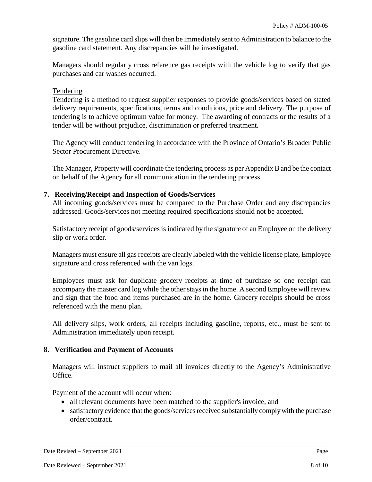signature. The gasoline card slips will then be immediately sent to Administration to balance to the gasoline card statement. Any discrepancies will be investigated.

Managers should regularly cross reference gas receipts with the vehicle log to verify that gas purchases and car washes occurred.

#### Tendering

Tendering is a method to request supplier responses to provide goods/services based on stated delivery requirements, specifications, terms and conditions, price and delivery. The purpose of tendering is to achieve optimum value for money. The awarding of contracts or the results of a tender will be without prejudice, discrimination or preferred treatment.

The Agency will conduct tendering in accordance with the Province of Ontario's Broader Public Sector Procurement Directive.

The Manager, Property will coordinate the tendering process as per Appendix B and be the contact on behalf of the Agency for all communication in the tendering process.

### **7. Receiving/Receipt and Inspection of Goods/Services**

All incoming goods/services must be compared to the Purchase Order and any discrepancies addressed. Goods/services not meeting required specifications should not be accepted.

Satisfactory receipt of goods/services is indicated by the signature of an Employee on the delivery slip or work order.

Managers must ensure all gas receipts are clearly labeled with the vehicle license plate, Employee signature and cross referenced with the van logs.

Employees must ask for duplicate grocery receipts at time of purchase so one receipt can accompany the master card log while the other stays in the home. A second Employee will review and sign that the food and items purchased are in the home. Grocery receipts should be cross referenced with the menu plan.

All delivery slips, work orders, all receipts including gasoline, reports, etc., must be sent to Administration immediately upon receipt.

## **8. Verification and Payment of Accounts**

Managers will instruct suppliers to mail all invoices directly to the Agency's Administrative Office.

Payment of the account will occur when:

- all relevant documents have been matched to the supplier's invoice, and
- satisfactory evidence that the goods/services received substantially comply with the purchase order/contract.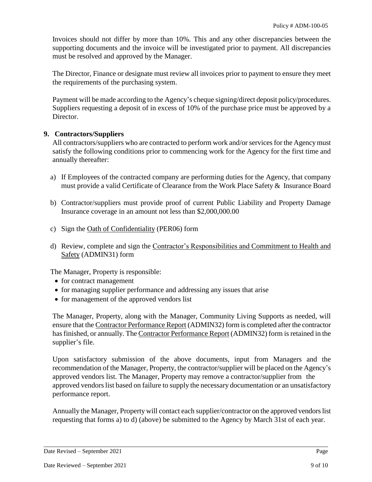Invoices should not differ by more than 10%. This and any other discrepancies between the supporting documents and the invoice will be investigated prior to payment. All discrepancies must be resolved and approved by the Manager.

The Director, Finance or designate must review all invoices prior to payment to ensure they meet the requirements of the purchasing system.

Payment will be made according to the Agency's cheque signing/direct deposit policy/procedures. Suppliers requesting a deposit of in excess of 10% of the purchase price must be approved by a Director.

## **9. Contractors/Suppliers**

All contractors/suppliers who are contracted to perform work and/or services for the Agency must satisfy the following conditions prior to commencing work for the Agency for the first time and annually thereafter:

- a) If Employees of the contracted company are performing duties for the Agency, that company must provide a valid Certificate of Clearance from the Work Place Safety & Insurance Board
- b) Contractor/suppliers must provide proof of current Public Liability and Property Damage Insurance coverage in an amount not less than \$2,000,000.00
- c) Sign the Oath of Confidentiality (PER06) form
- d) Review, complete and sign the Contractor's Responsibilities and Commitment to Health and Safety (ADMIN31) form

The Manager, Property is responsible:

- for contract management
- for managing supplier performance and addressing any issues that arise
- for management of the approved vendors list

The Manager, Property, along with the Manager, Community Living Supports as needed, will ensure that the Contractor Performance Report (ADMIN32) form is completed after the contractor has finished, or annually. The Contractor Performance Report (ADMIN32) form is retained in the supplier's file.

Upon satisfactory submission of the above documents, input from Managers and the recommendation of the Manager, Property, the contractor/supplier will be placed on the Agency's approved vendors list. The Manager, Property may remove a contractor/supplier from the approved vendors list based on failure to supply the necessary documentation or an unsatisfactory performance report.

Annually the Manager, Property will contact each supplier/contractor on the approved vendors list requesting that forms a) to d) (above) be submitted to the Agency by March 31st of each year.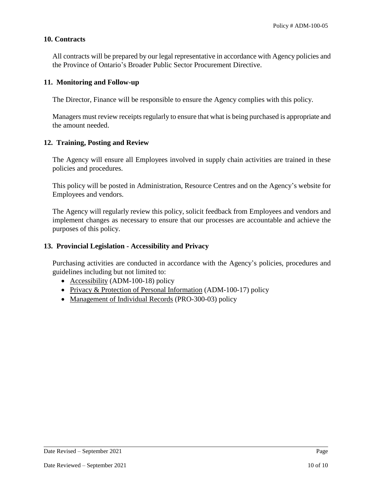#### **10. Contracts**

All contracts will be prepared by our legal representative in accordance with Agency policies and the Province of Ontario's Broader Public Sector Procurement Directive.

### **11. Monitoring and Follow-up**

The Director, Finance will be responsible to ensure the Agency complies with this policy.

Managers must review receipts regularly to ensure that what is being purchased is appropriate and the amount needed.

### **12. Training, Posting and Review**

The Agency will ensure all Employees involved in supply chain activities are trained in these policies and procedures.

This policy will be posted in Administration, Resource Centres and on the Agency's website for Employees and vendors.

The Agency will regularly review this policy, solicit feedback from Employees and vendors and implement changes as necessary to ensure that our processes are accountable and achieve the purposes of this policy.

## **13. Provincial Legislation - Accessibility and Privacy**

Purchasing activities are conducted in accordance with the Agency's policies, procedures and guidelines including but not limited to:

- Accessibility (ADM-100-18) policy
- Privacy & Protection of Personal Information (ADM-100-17) policy
- Management of Individual Records (PRO-300-03) policy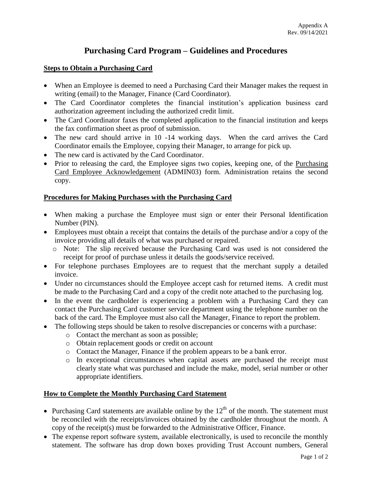# **Purchasing Card Program – Guidelines and Procedures**

#### **Steps to Obtain a Purchasing Card**

- When an Employee is deemed to need a Purchasing Card their Manager makes the request in writing (email) to the Manager, Finance (Card Coordinator).
- The Card Coordinator completes the financial institution's application business card authorization agreement including the authorized credit limit.
- The Card Coordinator faxes the completed application to the financial institution and keeps the fax confirmation sheet as proof of submission.
- The new card should arrive in 10 -14 working days. When the card arrives the Card Coordinator emails the Employee, copying their Manager, to arrange for pick up.
- The new card is activated by the Card Coordinator.
- Prior to releasing the card, the Employee signs two copies, keeping one, of the Purchasing Card Employee Acknowledgement (ADMIN03) form. Administration retains the second copy.

### **Procedures for Making Purchases with the Purchasing Card**

- When making a purchase the Employee must sign or enter their Personal Identification Number (PIN).
- Employees must obtain a receipt that contains the details of the purchase and/or a copy of the invoice providing all details of what was purchased or repaired.
	- o Note: The slip received because the Purchasing Card was used is not considered the receipt for proof of purchase unless it details the goods/service received.
- For telephone purchases Employees are to request that the merchant supply a detailed invoice.
- Under no circumstances should the Employee accept cash for returned items. A credit must be made to the Purchasing Card and a copy of the credit note attached to the purchasing log.
- In the event the cardholder is experiencing a problem with a Purchasing Card they can contact the Purchasing Card customer service department using the telephone number on the back of the card. The Employee must also call the Manager, Finance to report the problem.
- The following steps should be taken to resolve discrepancies or concerns with a purchase:
	- o Contact the merchant as soon as possible;
	- o Obtain replacement goods or credit on account
	- o Contact the Manager, Finance if the problem appears to be a bank error.
	- o In exceptional circumstances when capital assets are purchased the receipt must clearly state what was purchased and include the make, model, serial number or other appropriate identifiers.

#### **How to Complete the Monthly Purchasing Card Statement**

- Purchasing Card statements are available online by the  $12<sup>th</sup>$  of the month. The statement must be reconciled with the receipts/invoices obtained by the cardholder throughout the month. A copy of the receipt(s) must be forwarded to the Administrative Officer, Finance.
- The expense report software system, available electronically, is used to reconcile the monthly statement. The software has drop down boxes providing Trust Account numbers, General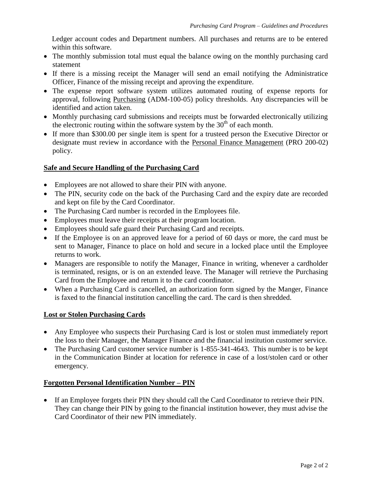Ledger account codes and Department numbers. All purchases and returns are to be entered within this software.

- The monthly submission total must equal the balance owing on the monthly purchasing card statement
- If there is a missing receipt the Manager will send an email notifying the Administratice Officer, Finance of the missing receipt and aproving the expenditure.
- The expense report software system utilizes automated routing of expense reports for approval, following Purchasing (ADM-100-05) policy thresholds. Any discrepancies will be identified and action taken.
- Monthly purchasing card submissions and receipts must be forwarded electronically utilizing the electronic routing within the software system by the  $30<sup>th</sup>$  of each month.
- If more than \$300.00 per single item is spent for a trusteed person the Executive Director or designate must review in accordance with the Personal Finance Management (PRO 200-02) policy.

## **Safe and Secure Handling of the Purchasing Card**

- Employees are not allowed to share their PIN with anyone.
- The PIN, security code on the back of the Purchasing Card and the expiry date are recorded and kept on file by the Card Coordinator.
- The Purchasing Card number is recorded in the Employees file.
- Employees must leave their receipts at their program location.
- Employees should safe guard their Purchasing Card and receipts.
- If the Employee is on an approved leave for a period of 60 days or more, the card must be sent to Manager, Finance to place on hold and secure in a locked place until the Employee returns to work.
- Managers are responsible to notify the Manager, Finance in writing, whenever a cardholder is terminated, resigns, or is on an extended leave. The Manager will retrieve the Purchasing Card from the Employee and return it to the card coordinator.
- When a Purchasing Card is cancelled, an authorization form signed by the Manger, Finance is faxed to the financial institution cancelling the card. The card is then shredded.

#### **Lost or Stolen Purchasing Cards**

- Any Employee who suspects their Purchasing Card is lost or stolen must immediately report the loss to their Manager, the Manager Finance and the financial institution customer service.
- The Purchasing Card customer service number is 1-855-341-4643. This number is to be kept in the Communication Binder at location for reference in case of a lost/stolen card or other emergency.

#### **Forgotten Personal Identification Number – PIN**

 If an Employee forgets their PIN they should call the Card Coordinator to retrieve their PIN. They can change their PIN by going to the financial institution however, they must advise the Card Coordinator of their new PIN immediately.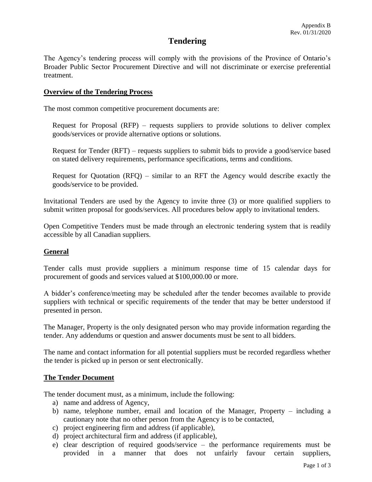# **Tendering**

The Agency's tendering process will comply with the provisions of the Province of Ontario's Broader Public Sector Procurement Directive and will not discriminate or exercise preferential treatment.

#### **Overview of the Tendering Process**

The most common competitive procurement documents are:

Request for Proposal (RFP) – requests suppliers to provide solutions to deliver complex goods/services or provide alternative options or solutions.

Request for Tender (RFT) – requests suppliers to submit bids to provide a good/service based on stated delivery requirements, performance specifications, terms and conditions.

Request for Quotation (RFQ) – similar to an RFT the Agency would describe exactly the goods/service to be provided.

Invitational Tenders are used by the Agency to invite three (3) or more qualified suppliers to submit written proposal for goods/services. All procedures below apply to invitational tenders.

Open Competitive Tenders must be made through an electronic tendering system that is readily accessible by all Canadian suppliers.

#### **General**

Tender calls must provide suppliers a minimum response time of 15 calendar days for procurement of goods and services valued at \$100,000.00 or more.

A bidder's conference/meeting may be scheduled after the tender becomes available to provide suppliers with technical or specific requirements of the tender that may be better understood if presented in person.

The Manager, Property is the only designated person who may provide information regarding the tender. Any addendums or question and answer documents must be sent to all bidders.

The name and contact information for all potential suppliers must be recorded regardless whether the tender is picked up in person or sent electronically.

#### **The Tender Document**

The tender document must, as a minimum, include the following:

- a) name and address of Agency,
- b) name, telephone number, email and location of the Manager, Property including a cautionary note that no other person from the Agency is to be contacted,
- c) project engineering firm and address (if applicable),
- d) project architectural firm and address (if applicable),
- e) clear description of required goods/service the performance requirements must be provided in a manner that does not unfairly favour certain suppliers,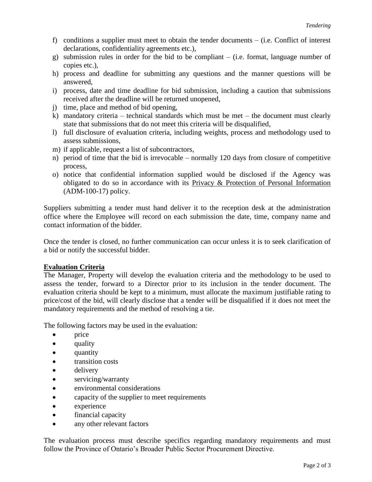- f) conditions a supplier must meet to obtain the tender documents (i.e. Conflict of interest declarations, confidentiality agreements etc.),
- g) submission rules in order for the bid to be compliant (i.e. format, language number of copies etc.),
- h) process and deadline for submitting any questions and the manner questions will be answered,
- i) process, date and time deadline for bid submission, including a caution that submissions received after the deadline will be returned unopened,
- j) time, place and method of bid opening,
- k) mandatory criteria technical standards which must be met the document must clearly state that submissions that do not meet this criteria will be disqualified,
- l) full disclosure of evaluation criteria, including weights, process and methodology used to assess submissions,
- m) if applicable, request a list of subcontractors,
- n) period of time that the bid is irrevocable normally 120 days from closure of competitive process,
- o) notice that confidential information supplied would be disclosed if the Agency was obligated to do so in accordance with its Privacy & Protection of Personal Information (ADM-100-17) policy.

Suppliers submitting a tender must hand deliver it to the reception desk at the administration office where the Employee will record on each submission the date, time, company name and contact information of the bidder.

Once the tender is closed, no further communication can occur unless it is to seek clarification of a bid or notify the successful bidder.

#### **Evaluation Criteria**

The Manager, Property will develop the evaluation criteria and the methodology to be used to assess the tender, forward to a Director prior to its inclusion in the tender document. The evaluation criteria should be kept to a minimum, must allocate the maximum justifiable rating to price/cost of the bid, will clearly disclose that a tender will be disqualified if it does not meet the mandatory requirements and the method of resolving a tie.

The following factors may be used in the evaluation:

- price
- quality
- quantity
- transition costs
- delivery
- servicing/warranty
- environmental considerations
- capacity of the supplier to meet requirements
- experience
- financial capacity
- any other relevant factors

The evaluation process must describe specifics regarding mandatory requirements and must follow the Province of Ontario's Broader Public Sector Procurement Directive.